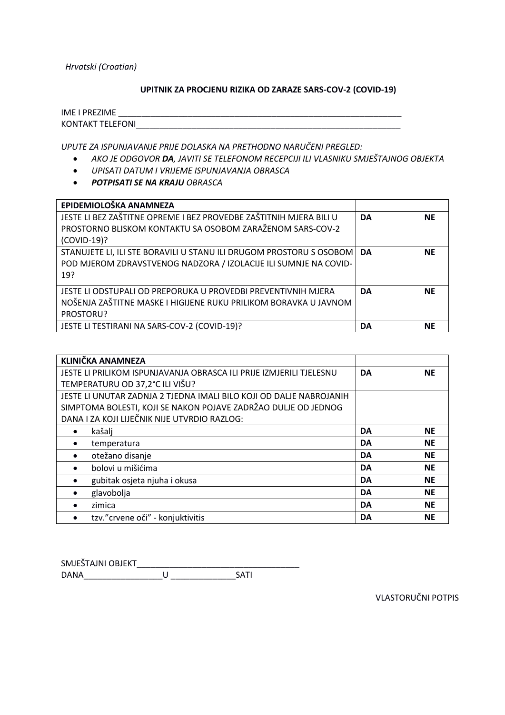*Hrvatski (Croatian)*

### **UPITNIK ZA PROCJENU RIZIKA OD ZARAZE SARS-COV-2 (COVID-19)**

| <b>IME I PREZIME</b>    |  |  |
|-------------------------|--|--|
| <b>KONTAKT TELEFONI</b> |  |  |

*UPUTE ZA ISPUNJAVANJE PRIJE DOLASKA NA PRETHODNO NARUČENI PREGLED:*

- *AKO JE ODGOVOR DA, JAVITI SE TELEFONOM RECEPCIJI ILI VLASNIKU SMJEŠTAJNOG OBJEKTA*
- *UPISATI DATUM I VRIJEME ISPUNJAVANJA OBRASCA*
- *POTPISATI SE NA KRAJU OBRASCA*

| EPIDEMIOLOŠKA ANAMNEZA                                                                                                                         |           |           |
|------------------------------------------------------------------------------------------------------------------------------------------------|-----------|-----------|
| JESTE LI BEZ ZAŠTITNE OPREME I BEZ PROVEDBE ZAŠTITNIH MJERA BILI U<br>PROSTORNO BLISKOM KONTAKTU SA OSOBOM ZARAŽENOM SARS-COV-2                | <b>DA</b> | <b>NE</b> |
| (COVID-19)?                                                                                                                                    |           |           |
| STANUJETE LI, ILI STE BORAVILI U STANU ILI DRUGOM PROSTORU S OSOBOM<br>POD MJEROM ZDRAVSTVENOG NADZORA / IZOLACIJE ILI SUMNJE NA COVID-<br>19? | <b>DA</b> | <b>NE</b> |
| JESTE LI ODSTUPALI OD PREPORUKA U PROVEDBI PREVENTIVNIH MJERA<br>NOŠENJA ZAŠTITNE MASKE I HIGIJENE RUKU PRILIKOM BORAVKA U JAVNOM<br>PROSTORU? | <b>DA</b> | <b>NE</b> |
| JESTE LI TESTIRANI NA SARS-COV-2 (COVID-19)?                                                                                                   | DA        | <b>NE</b> |

| <b>KLINIČKA ANAMNEZA</b>                                            |           |           |
|---------------------------------------------------------------------|-----------|-----------|
| JESTE LI PRILIKOM ISPUNJAVANJA OBRASCA ILI PRIJE IZMJERILI TJELESNU | DA        | <b>NE</b> |
| TEMPERATURU OD 37,2°C ILI VIŠU?                                     |           |           |
| JESTE LI UNUTAR ZADNJA 2 TJEDNA IMALI BILO KOJI OD DALJE NABROJANIH |           |           |
| SIMPTOMA BOLESTI, KOJI SE NAKON POJAVE ZADRŽAO DULJE OD JEDNOG      |           |           |
| DANA I ZA KOJI LIJEČNIK NIJE UTVRDIO RAZLOG:                        |           |           |
| kašalj<br>$\bullet$                                                 | <b>DA</b> | <b>NE</b> |
| temperatura<br>$\bullet$                                            | <b>DA</b> | <b>NE</b> |
| otežano disanje<br>$\bullet$                                        | <b>DA</b> | <b>NE</b> |
| bolovi u mišićima<br>$\bullet$                                      | <b>DA</b> | <b>NE</b> |
| gubitak osjeta njuha i okusa                                        | DA        | <b>NE</b> |
| glavobolja<br>$\bullet$                                             | <b>DA</b> | <b>NE</b> |
| zimica<br>$\bullet$                                                 | <b>DA</b> | <b>NE</b> |
| tzv." crvene oči" - konjuktivitis<br>$\bullet$                      | DA        | <b>NE</b> |

| SMJEŠTAJNI OBJEKT |  |  |
|-------------------|--|--|
| <b>DANA</b>       |  |  |

VLASTORUČNI POTPIS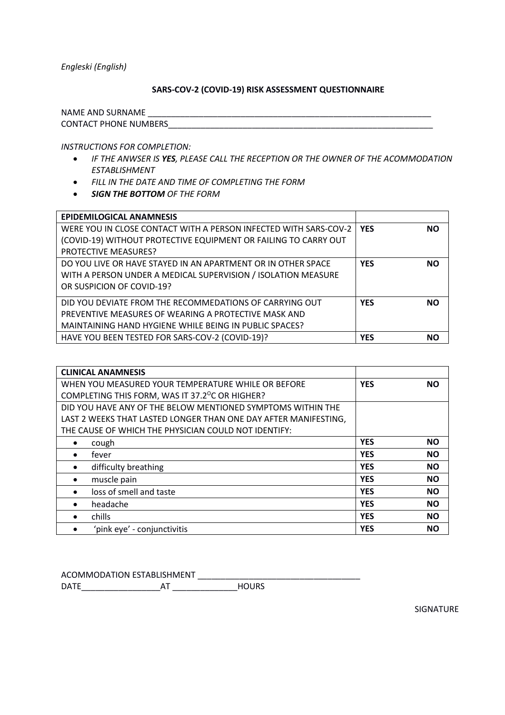*Engleski (English)*

### **SARS-COV-2 (COVID-19) RISK ASSESSMENT QUESTIONNAIRE**

NAME AND SURNAME \_\_\_\_\_\_\_\_\_\_\_\_\_\_\_\_\_\_\_\_\_\_\_\_\_\_\_\_\_\_\_\_\_\_\_\_\_\_\_\_\_\_\_\_\_\_\_\_\_\_\_\_\_\_\_\_\_\_\_\_\_ CONTACT PHONE NUMBERS

*INSTRUCTIONS FOR COMPLETION:*

- *IF THE ANWSER IS YES, PLEASE CALL THE RECEPTION OR THE OWNER OF THE ACOMMODATION ESTABLISHMENT*
- *FILL IN THE DATE AND TIME OF COMPLETING THE FORM*
- *SIGN THE BOTTOM OF THE FORM*

| <b>EPIDEMILOGICAL ANAMNESIS</b>                                        |            |           |
|------------------------------------------------------------------------|------------|-----------|
| WERE YOU IN CLOSE CONTACT WITH A PERSON INFECTED WITH SARS-COV-2   YES |            | <b>NO</b> |
| (COVID-19) WITHOUT PROTECTIVE EQUIPMENT OR FAILING TO CARRY OUT        |            |           |
| <b>PROTECTIVE MEASURES?</b>                                            |            |           |
| DO YOU LIVE OR HAVE STAYED IN AN APARTMENT OR IN OTHER SPACE           | <b>YES</b> | <b>NO</b> |
| WITH A PERSON UNDER A MEDICAL SUPERVISION / ISOLATION MEASURE          |            |           |
| OR SUSPICION OF COVID-19?                                              |            |           |
| DID YOU DEVIATE FROM THE RECOMMEDATIONS OF CARRYING OUT                | <b>YES</b> | <b>NO</b> |
| PREVENTIVE MEASURES OF WEARING A PROTECTIVE MASK AND                   |            |           |
| MAINTAINING HAND HYGIENE WHILE BEING IN PUBLIC SPACES?                 |            |           |
| HAVE YOU BEEN TESTED FOR SARS-COV-2 (COVID-19)?                        | <b>YES</b> | <b>NO</b> |

| <b>CLINICAL ANAMNESIS</b>                                       |            |           |
|-----------------------------------------------------------------|------------|-----------|
| WHEN YOU MEASURED YOUR TEMPERATURE WHILE OR BEFORE              | <b>YES</b> | <b>NO</b> |
| COMPLETING THIS FORM, WAS IT 37.2 <sup>o</sup> C OR HIGHER?     |            |           |
| DID YOU HAVE ANY OF THE BELOW MENTIONED SYMPTOMS WITHIN THE     |            |           |
| LAST 2 WEEKS THAT LASTED LONGER THAN ONE DAY AFTER MANIFESTING, |            |           |
| THE CAUSE OF WHICH THE PHYSICIAN COULD NOT IDENTIFY:            |            |           |
| cough<br>٠                                                      | <b>YES</b> | <b>NO</b> |
| fever<br>$\bullet$                                              | <b>YES</b> | <b>NO</b> |
| difficulty breathing<br>$\bullet$                               | <b>YES</b> | <b>NO</b> |
| muscle pain<br>$\bullet$                                        | <b>YES</b> | <b>NO</b> |
| loss of smell and taste<br>$\bullet$                            | <b>YES</b> | <b>NO</b> |
| headache<br>$\bullet$                                           | <b>YES</b> | <b>NO</b> |
| chills<br>$\bullet$                                             | <b>YES</b> | <b>NO</b> |
| 'pink eye' - conjunctivitis                                     | <b>YES</b> | <b>NO</b> |

ACOMMODATION ESTABLISHMENT \_\_\_\_\_\_\_\_\_\_\_\_\_\_\_\_\_\_\_\_\_\_\_\_\_\_\_\_\_\_\_\_\_\_\_ DATE\_\_\_\_\_\_\_\_\_\_\_\_\_\_\_\_\_AT \_\_\_\_\_\_\_\_\_\_\_\_\_\_HOURS

SIGNATURE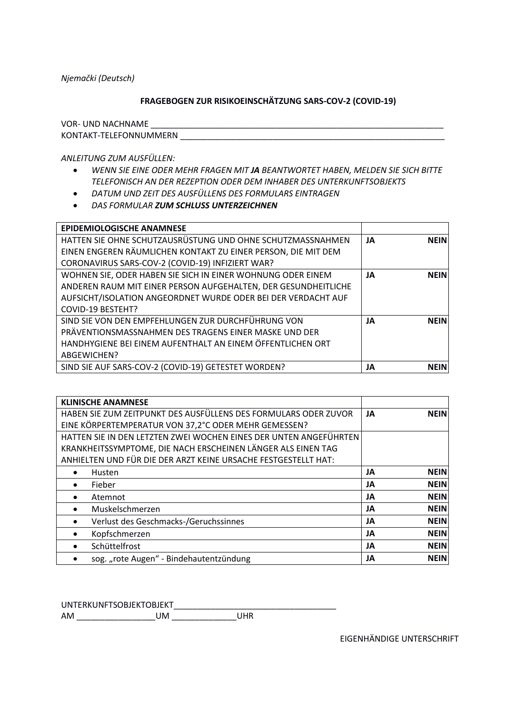Njemački (Deutsch)

### FRAGEBOGEN ZUR RISIKOEINSCHÄTZUNG SARS-COV-2 (COVID-19)

**VOR- UND NACHNAME** 

KONTAKT-TELEFONNUMMERN

ANLEITUNG ZUM AUSFÜLLEN:

- WENN SIE EINE ODER MEHR FRAGEN MIT JA BEANTWORTET HABEN, MELDEN SIE SICH BITTE TELEFONISCH AN DER REZEPTION ODER DEM INHABER DES UNTERKUNFTSOBJEKTS
- DATUM UND ZEIT DES AUSFÜLLENS DES FORMULARS EINTRAGEN
- DAS FORMULAR ZUM SCHLUSS UNTERZEICHNEN

| <b>EPIDEMIOLOGISCHE ANAMNESE</b>                               |    |             |
|----------------------------------------------------------------|----|-------------|
| HATTEN SIE OHNE SCHUTZAUSRÜSTUNG UND OHNE SCHUTZMASSNAHMEN     | JA | <b>NEIN</b> |
| EINEN ENGEREN RÄUMLICHEN KONTAKT ZU EINER PERSON, DIE MIT DEM  |    |             |
| CORONAVIRUS SARS-COV-2 (COVID-19) INFIZIERT WAR?               |    |             |
| WOHNEN SIE, ODER HABEN SIE SICH IN EINER WOHNUNG ODER EINEM    | JA | <b>NEIN</b> |
| ANDEREN RAUM MIT EINER PERSON AUFGEHALTEN, DER GESUNDHEITLICHE |    |             |
| AUFSICHT/ISOLATION ANGEORDNET WURDE ODER BEI DER VERDACHT AUF  |    |             |
| <b>COVID-19 BESTEHT?</b>                                       |    |             |
| SIND SIE VON DEN EMPFEHLUNGEN ZUR DURCHFÜHRUNG VON             | JA | <b>NEIN</b> |
| PRÄVENTIONSMASSNAHMEN DES TRAGENS EINER MASKE UND DER          |    |             |
| HANDHYGIENE BEI EINEM AUFENTHALT AN EINEM ÖFFENTLICHEN ORT     |    |             |
| ABGEWICHEN?                                                    |    |             |
| SIND SIE AUF SARS-COV-2 (COVID-19) GETESTET WORDEN?            | JA | <b>NEIN</b> |

| <b>KLINISCHE ANAMNESE</b>                                         |    |             |
|-------------------------------------------------------------------|----|-------------|
| HABEN SIE ZUM ZEITPUNKT DES AUSFÜLLENS DES FORMULARS ODER ZUVOR   | JA | <b>NEIN</b> |
| EINE KÖRPERTEMPERATUR VON 37,2°C ODER MEHR GEMESSEN?              |    |             |
| HATTEN SIE IN DEN LETZTEN ZWEI WOCHEN EINES DER UNTEN ANGEFÜHRTEN |    |             |
| KRANKHEITSSYMPTOME, DIE NACH ERSCHEINEN LÄNGER ALS EINEN TAG      |    |             |
| ANHIELTEN UND FÜR DIE DER ARZT KEINE URSACHE FESTGESTELLT HAT:    |    |             |
| Husten<br>٠                                                       | JA | <b>NEIN</b> |
| Fieber<br>$\bullet$                                               | JA | <b>NEIN</b> |
| Atemnot<br>$\bullet$                                              | JA | <b>NEIN</b> |
| Muskelschmerzen<br>$\bullet$                                      | JA | <b>NEIN</b> |
| Verlust des Geschmacks-/Geruchssinnes<br>$\bullet$                | JA | <b>NEIN</b> |
| Kopfschmerzen<br>$\bullet$                                        | JA | <b>NEIN</b> |
| Schüttelfrost<br>٠                                                | JA | <b>NEIN</b> |
| sog. "rote Augen" - Bindehautentzündung                           | JA | <b>NEIN</b> |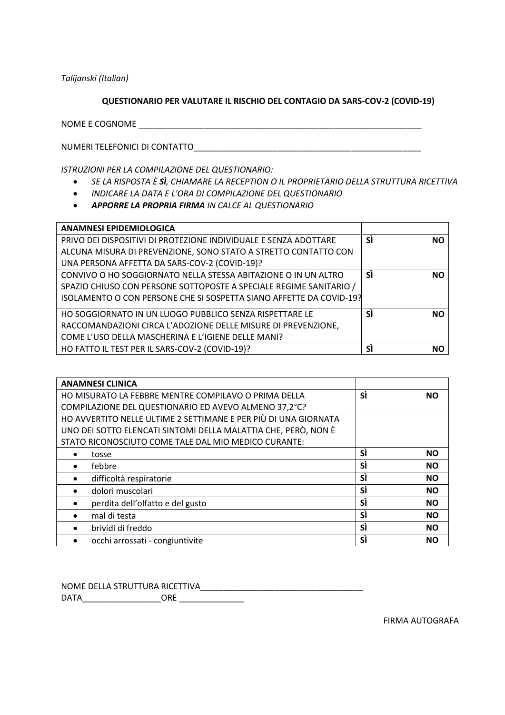Talijanski (Italian)

### QUESTIONARIO PER VALUTARE IL RISCHIO DEL CONTAGIO DA SARS-COV-2 (COVID-19)

NOME E COGNOME ET ANNO 1999 ANNO 1999 ANNO 1999 ANNO 1999 ANNO 1999 ANNO 1999 ANNO 1999 ANNO 1999 ANNO 1999 AN

NUMERI TELEFONICI DI CONTATTO

ISTRUZIONI PER LA COMPILAZIONE DEL QUESTIONARIO:

- SE LA RISPOSTA È SÌ, CHIAMARE LA RECEPTION O IL PROPRIETARIO DELLA STRUTTURA RICETTIVA  $\bullet$
- · INDICARE LA DATA E L'ORA DI COMPILAZIONE DEL QUESTIONARIO
- APPORRE LA PROPRIA FIRMA IN CALCE AL QUESTIONARIO

| <b>ANAMNESI EPIDEMIOLOGICA</b>                                      |                 |  |
|---------------------------------------------------------------------|-----------------|--|
| PRIVO DEI DISPOSITIVI DI PROTEZIONE INDIVIDUALE E SENZA ADOTTARE    | SÌ<br><b>NO</b> |  |
| ALCUNA MISURA DI PREVENZIONE, SONO STATO A STRETTO CONTATTO CON     |                 |  |
| UNA PERSONA AFFETTA DA SARS-COV-2 (COVID-19)?                       |                 |  |
| CONVIVO O HO SOGGIORNATO NELLA STESSA ABITAZIONE O IN UN ALTRO      | SÌ<br><b>NO</b> |  |
| SPAZIO CHIUSO CON PERSONE SOTTOPOSTE A SPECIALE REGIME SANITARIO /  |                 |  |
| ISOLAMENTO O CON PERSONE CHE SI SOSPETTA SIANO AFFETTE DA COVID-19? |                 |  |
| HO SOGGIORNATO IN UN LUOGO PUBBLICO SENZA RISPETTARE LE             | SÌ<br><b>NO</b> |  |
| RACCOMANDAZIONI CIRCA L'ADOZIONE DELLE MISURE DI PREVENZIONE,       |                 |  |
| COME L'USO DELLA MASCHERINA E L'IGIENE DELLE MANI?                  |                 |  |
| HO FATTO IL TEST PER IL SARS-COV-2 (COVID-19)?                      | SÌ<br><b>NO</b> |  |
|                                                                     |                 |  |

| <b>ANAMNESI CLINICA</b>                                         |    |           |
|-----------------------------------------------------------------|----|-----------|
| HO MISURATO LA FEBBRE MENTRE COMPILAVO O PRIMA DELLA            | SÌ | <b>NO</b> |
| COMPILAZIONE DEL QUESTIONARIO ED AVEVO ALMENO 37,2°C?           |    |           |
| HO AVVERTITO NELLE ULTIME 2 SETTIMANE E PER PIÙ DI UNA GIORNATA |    |           |
| UNO DEI SOTTO ELENCATI SINTOMI DELLA MALATTIA CHE, PERÒ, NON È  |    |           |
| STATO RICONOSCIUTO COME TALE DAL MIO MEDICO CURANTE:            |    |           |
| tosse                                                           | SÌ | <b>NO</b> |
| febbre<br>$\bullet$                                             | SÌ | <b>NO</b> |
| difficoltà respiratorie<br>$\bullet$                            | SÌ | <b>NO</b> |
| dolori muscolari<br>$\bullet$                                   | SÌ | <b>NO</b> |
| perdita dell'olfatto e del gusto<br>٠                           | SÌ | <b>NO</b> |
| mal di testa<br>$\bullet$                                       | SÌ | <b>NO</b> |
| brividi di freddo<br>٠                                          | SÌ | <b>NO</b> |
| occhi arrossati - congiuntivite                                 | SÌ | <b>NO</b> |

|             | NOME DELLA STRUTTURA RICETTIVA |  |
|-------------|--------------------------------|--|
| <b>DATA</b> | ∩RF                            |  |

FIRMA AUTOGRAFA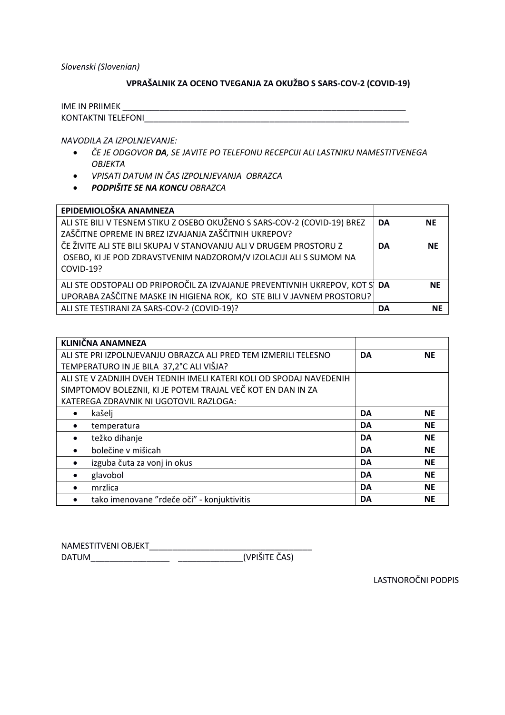Slovenski (Slovenian)

# VPRAŠALNIK ZA OCENO TVEGANJA ZA OKUŽBO S SARS-COV-2 (COVID-19)

| <b>IME IN PRIIMEK</b>     |  |
|---------------------------|--|
| <b>KONTAKTNI TELEFONI</b> |  |

NAVODILA ZA IZPOLNJEVANJE:

- ČE JE ODGOVOR **DA**, SE JAVITE PO TELEFONU RECEPCIJI ALI LASTNIKU NAMESTITVENEGA  $\bullet$ **OBJEKTA**
- · VPISATI DATUM IN ČAS IZPOLNJEVANJA OBRAZCA
- PODPIŠITE SE NA KONCU OBRAZCA

| EPIDEMIOLOŠKA ANAMNEZA                                                      |           |           |
|-----------------------------------------------------------------------------|-----------|-----------|
| ALI STE BILI V TESNEM STIKU Z OSEBO OKUŽENO S SARS-COV-2 (COVID-19) BREZ    | DA        | <b>NE</b> |
| ZAŠČITNE OPREME IN BREZ IZVAJANJA ZAŠČITNIH UKREPOV?                        |           |           |
| ČE ŽIVITE ALI STE BILI SKUPAJ V STANOVANJU ALI V DRUGEM PROSTORU Z          | <b>DA</b> | <b>NE</b> |
| OSEBO, KI JE POD ZDRAVSTVENIM NADZOROM/V IZOLACIJI ALI S SUMOM NA           |           |           |
| COVID-19?                                                                   |           |           |
| ALI STE ODSTOPALI OD PRIPOROČIL ZA IZVAJANJE PREVENTIVNIH UKREPOV, KOT S DA |           | <b>NE</b> |
| UPORABA ZAŠČITNE MASKE IN HIGIENA ROK, KO STE BILI V JAVNEM PROSTORU?       |           |           |
| ALI STE TESTIRANI ZA SARS-COV-2 (COVID-19)?                                 | DA        | <b>NE</b> |

| <b>KLINIČNA ANAMNEZA</b>                                            |           |           |
|---------------------------------------------------------------------|-----------|-----------|
| ALI STE PRI IZPOLNJEVANJU OBRAZCA ALI PRED TEM IZMERILI TELESNO     | <b>DA</b> | <b>NE</b> |
| TEMPERATURO IN JE BILA 37,2°C ALI VIŠJA?                            |           |           |
| ALI STE V ZADNJIH DVEH TEDNIH IMELI KATERI KOLI OD SPODAJ NAVEDENIH |           |           |
| SIMPTOMOV BOLEZNII, KI JE POTEM TRAJAL VEČ KOT EN DAN IN ZA         |           |           |
| KATEREGA ZDRAVNIK NI UGOTOVIL RAZLOGA:                              |           |           |
| kašelj<br>٠                                                         | <b>DA</b> | <b>NE</b> |
| temperatura<br>$\bullet$                                            | <b>DA</b> | <b>NE</b> |
| težko dihanje<br>$\bullet$                                          | <b>DA</b> | <b>NE</b> |
| bolečine v mišicah<br>$\bullet$                                     | <b>DA</b> | <b>NE</b> |
| izguba čuta za vonj in okus<br>$\bullet$                            | <b>DA</b> | <b>NE</b> |
| glavobol<br>$\bullet$                                               | <b>DA</b> | <b>NE</b> |
| mrzlica<br>$\bullet$                                                | <b>DA</b> | <b>NE</b> |
| tako imenovane "rdeče oči" - konjuktivitis<br>$\bullet$             | DA        | <b>NE</b> |

| NAMESTITVENI OBJEKT |               |
|---------------------|---------------|
| <b>DATUM</b>        | (VPIŠITE ČAS) |

LASTNOROČNI PODPIS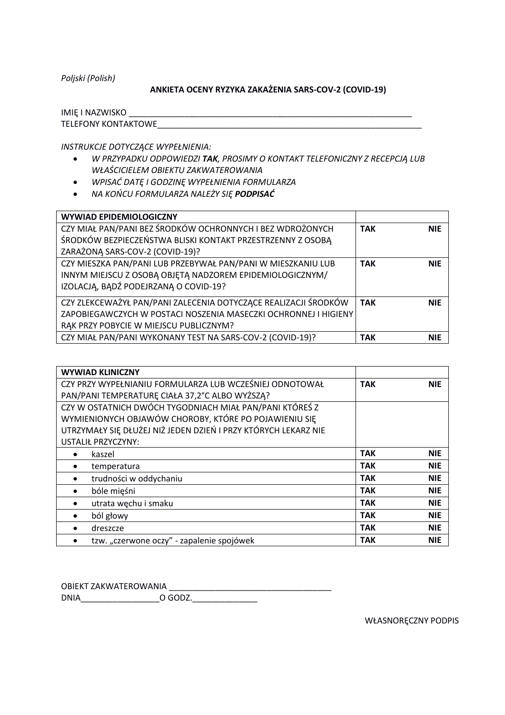*Poljski (Polish)*

#### **ANKIETA OCENY RYZYKA ZAKAŻENIA SARS-COV-2 (COVID-19)**

| <b>IMIE I NAZWISKO</b>     |  |
|----------------------------|--|
| <b>TELEFONY KONTAKTOWE</b> |  |

*INSTRUKCJE DOTYCZĄCE WYPEŁNIENIA:*

- *W PRZYPADKU ODPOWIEDZI TAK, PROSIMY O KONTAKT TELEFONICZNY Z RECEPCJĄ LUB WŁAŚCICIELEM OBIEKTU ZAKWATEROWANIA*
- *WPISAĆ DATĘ I GODZINĘ WYPEŁNIENIA FORMULARZA*
- *NA KOŃCU FORMULARZA NALEŻY SIĘ PODPISAĆ*

| <b>WYWIAD EPIDEMIOLOGICZNY</b>                                  |            |            |
|-----------------------------------------------------------------|------------|------------|
| CZY MIAŁ PAN/PANI BEZ ŚRODKÓW OCHRONNYCH I BEZ WDROŻONYCH       | <b>TAK</b> | <b>NIE</b> |
| ŚRODKÓW BEZPIECZEŃSTWA BLISKI KONTAKT PRZESTRZENNY Z OSOBĄ      |            |            |
| ZARAŻONĄ SARS-COV-2 (COVID-19)?                                 |            |            |
| CZY MIESZKA PAN/PANI LUB PRZEBYWAŁ PAN/PANI W MIESZKANIU LUB    | <b>TAK</b> | <b>NIE</b> |
| INNYM MIEJSCU Z OSOBĄ OBJĘTĄ NADZOREM EPIDEMIOLOGICZNYM/        |            |            |
| IZOLACJĄ, BĄDŹ PODEJRZANĄ O COVID-19?                           |            |            |
| CZY ZLEKCEWAŻYŁ PAN/PANI ZALECENIA DOTYCZĄCE REALIZACJI ŚRODKÓW | <b>TAK</b> | <b>NIE</b> |
| ZAPOBIEGAWCZYCH W POSTACI NOSZENIA MASECZKI OCHRONNEJ I HIGIENY |            |            |
| RAK PRZY POBYCIE W MIEJSCU PUBLICZNYM?                          |            |            |
| CZY MIAŁ PAN/PANI WYKONANY TEST NA SARS-COV-2 (COVID-19)?       | <b>TAK</b> | <b>NIE</b> |

| <b>WYWIAD KLINICZNY</b>                                        |            |            |
|----------------------------------------------------------------|------------|------------|
| CZY PRZY WYPEŁNIANIU FORMULARZA LUB WCZEŚNIEJ ODNOTOWAŁ        | <b>TAK</b> | <b>NIE</b> |
| PAN/PANI TEMPERATURE CIAŁA 37,2°C ALBO WYŻSZĄ?                 |            |            |
| CZY W OSTATNICH DWÓCH TYGODNIACH MIAŁ PAN/PANI KTÓREŚ Z        |            |            |
| WYMIENIONYCH OBJAWÓW CHOROBY, KTÓRE PO POJAWIENIU SIĘ          |            |            |
| UTRZYMAŁY SIĘ DŁUŻEJ NIŻ JEDEN DZIEŃ I PRZY KTÓRYCH LEKARZ NIE |            |            |
| <b>USTALIŁ PRZYCZYNY:</b>                                      |            |            |
| kaszel                                                         | <b>TAK</b> | <b>NIE</b> |
| temperatura<br>$\bullet$                                       | <b>TAK</b> | <b>NIE</b> |
| trudności w oddychaniu<br>$\bullet$                            | <b>TAK</b> | <b>NIE</b> |
| bóle mięśni<br>$\bullet$                                       | <b>TAK</b> | <b>NIE</b> |
| utrata węchu i smaku<br>$\bullet$                              | <b>TAK</b> | <b>NIE</b> |
| ból głowy<br>$\bullet$                                         | <b>TAK</b> | <b>NIE</b> |
| dreszcze<br>$\bullet$                                          | <b>TAK</b> | <b>NIE</b> |
| tzw. "czerwone oczy" - zapalenie spojówek<br>$\bullet$         | <b>TAK</b> | <b>NIE</b> |

OBIEKT ZAKWATEROWANIA \_\_\_\_\_\_\_\_\_\_\_\_\_\_\_\_\_\_\_\_\_\_\_\_\_\_\_\_\_\_\_\_\_\_\_

DNIA\_\_\_\_\_\_\_\_\_\_\_\_\_\_\_\_\_O GODZ.\_\_\_\_\_\_\_\_\_\_\_\_\_\_

WŁASNORĘCZNY PODPIS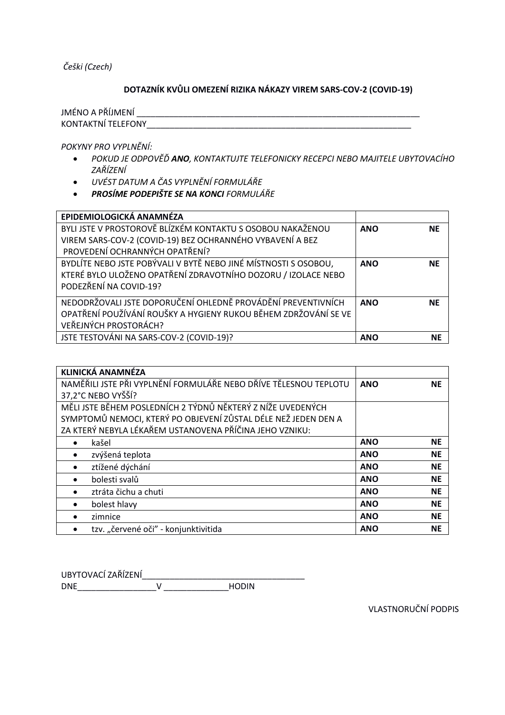Češki (Czech)

## DOTAZNÍK KVŮLI OMEZENÍ RIZIKA NÁKAZY VIREM SARS-COV-2 (COVID-19)

POKYNY PRO VYPLNĚNÍ:

- POKUD JE ODPOVĚĎ ANO, KONTAKTUJTE TELEFONICKY RECEPCI NEBO MAJITELE UBYTOVACÍHO ZAŘÍZENÍ
- · UVÉST DATUM A ČAS VYPLNĚNÍ FORMULÁŘE
- PROSÍME PODEPIŠTE SE NA KONCI FORMULÁŘE

| EPIDEMIOLOGICKÁ ANAMNÉZA                                                                                                                                   |            |           |
|------------------------------------------------------------------------------------------------------------------------------------------------------------|------------|-----------|
| BYLI JSTE V PROSTOROVĚ BLÍZKÉM KONTAKTU S OSOBOU NAKAŽENOU<br>VIREM SARS-COV-2 (COVID-19) BEZ OCHRANNÉHO VYBAVENÍ A BEZ<br>PROVEDENÍ OCHRANNÝCH OPATŘENÍ?  | <b>ANO</b> | <b>NE</b> |
| BYDLÍTE NEBO JSTE POBÝVALI V BYTĚ NEBO JINÉ MÍSTNOSTI S OSOBOU,<br>KTERÉ BYLO ULOŽENO OPATŘENÍ ZDRAVOTNÍHO DOZORU / IZOLACE NEBO<br>PODEZŘENÍ NA COVID-19? | <b>ANO</b> | <b>NE</b> |
| NEDODRŽOVALI JSTE DOPORUČENÍ OHLEDNĚ PROVÁDĚNÍ PREVENTIVNÍCH<br>OPATŘENÍ POUŽÍVÁNÍ ROUŠKY A HYGIENY RUKOU BĚHEM ZDRŽOVÁNÍ SE VE<br>VEŘEJNÝCH PROSTORÁCH?   | <b>ANO</b> | <b>NE</b> |
| JSTE TESTOVÁNI NA SARS-COV-2 (COVID-19)?                                                                                                                   | <b>ANO</b> | <b>NE</b> |

| KLINICKÁ ANAMNÉZA                                                |            |           |
|------------------------------------------------------------------|------------|-----------|
| NAMĚŘILI JSTE PŘI VYPLNĚNÍ FORMULÁŘE NEBO DŘÍVE TĚLESNOU TEPLOTU | <b>ANO</b> | <b>NE</b> |
| 37,2°C NEBO VYŠŠÍ?                                               |            |           |
| MĚLI JSTE BĚHEM POSLEDNÍCH 2 TÝDNŮ NĚKTERÝ Z NÍŽE UVEDENÝCH      |            |           |
| SYMPTOMŮ NEMOCI, KTERÝ PO OBJEVENÍ ZŮSTAL DÉLE NEŽ JEDEN DEN A   |            |           |
| ZA KTERÝ NEBYLA LÉKAŘEM USTANOVENA PŘÍČINA JEHO VZNIKU:          |            |           |
| kašel<br>٠                                                       | <b>ANO</b> | <b>NE</b> |
| zvýšená teplota<br>$\bullet$                                     | <b>ANO</b> | <b>NE</b> |
| ztížené dýchání<br>$\bullet$                                     | <b>ANO</b> | <b>NE</b> |
| bolesti svalů<br>$\bullet$                                       | <b>ANO</b> | <b>NE</b> |
| ztráta čichu a chuti<br>$\bullet$                                | <b>ANO</b> | <b>NE</b> |
| bolest hlavy<br>$\bullet$                                        | <b>ANO</b> | <b>NE</b> |
| zimnice<br>٠                                                     | <b>ANO</b> | <b>NE</b> |
| tzv. "červené oči" - konjunktivitida<br>$\bullet$                | <b>ANO</b> | <b>NE</b> |

**VLASTNORUČNÍ PODPIS**